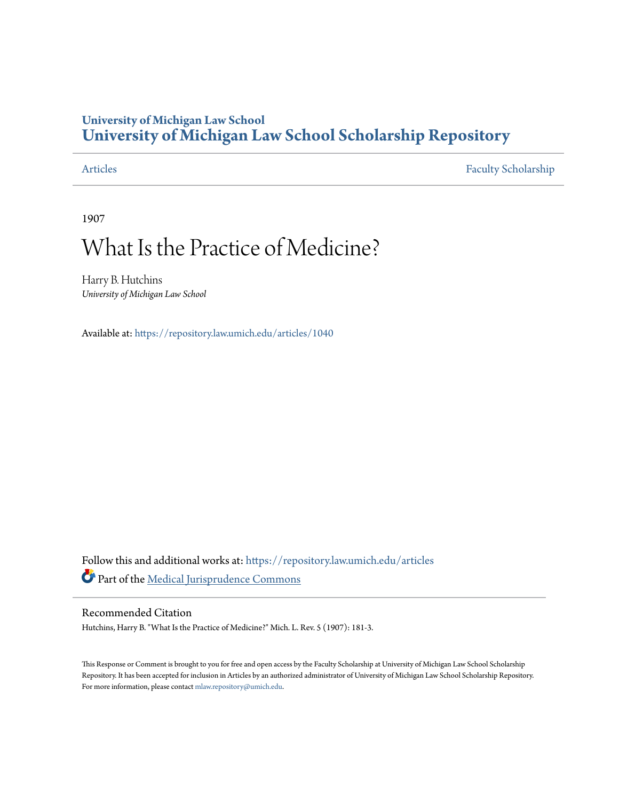## **University of Michigan Law School [University of Michigan Law School Scholarship Repository](https://repository.law.umich.edu?utm_source=repository.law.umich.edu%2Farticles%2F1040&utm_medium=PDF&utm_campaign=PDFCoverPages)**

[Articles](https://repository.law.umich.edu/articles?utm_source=repository.law.umich.edu%2Farticles%2F1040&utm_medium=PDF&utm_campaign=PDFCoverPages) [Faculty Scholarship](https://repository.law.umich.edu/faculty_scholarship?utm_source=repository.law.umich.edu%2Farticles%2F1040&utm_medium=PDF&utm_campaign=PDFCoverPages)

1907

# What Is the Practice of Medicine?

Harry B. Hutchins *University of Michigan Law School*

Available at: <https://repository.law.umich.edu/articles/1040>

Follow this and additional works at: [https://repository.law.umich.edu/articles](https://repository.law.umich.edu/articles?utm_source=repository.law.umich.edu%2Farticles%2F1040&utm_medium=PDF&utm_campaign=PDFCoverPages) Part of the [Medical Jurisprudence Commons](http://network.bepress.com/hgg/discipline/860?utm_source=repository.law.umich.edu%2Farticles%2F1040&utm_medium=PDF&utm_campaign=PDFCoverPages)

### Recommended Citation

Hutchins, Harry B. "What Is the Practice of Medicine?" Mich. L. Rev. 5 (1907): 181-3.

This Response or Comment is brought to you for free and open access by the Faculty Scholarship at University of Michigan Law School Scholarship Repository. It has been accepted for inclusion in Articles by an authorized administrator of University of Michigan Law School Scholarship Repository. For more information, please contact [mlaw.repository@umich.edu](mailto:mlaw.repository@umich.edu).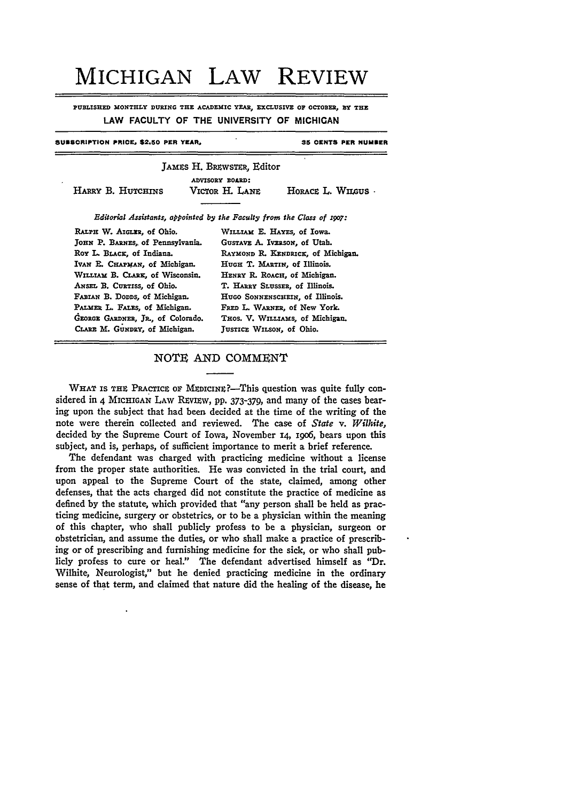# MICHIGAN **LAW** REVIEW

**PUBLISHED MONTHLY DURING THE ACADEMIC YEAR, EXCLUSIVE OF OCTOBER, BY THE** LAW **FACULTY** OF THE **UNIVERSITY** OF **MICHIGAN**

#### **SUESORIPTION PRICE. \$2.50 PER YEAR.**

**35 OENTS PER NUMBER**

|                                                                        |  | JAMES H. BREWSTER, Editor<br>ADVISORY BOARD: |                   |
|------------------------------------------------------------------------|--|----------------------------------------------|-------------------|
| HARRY B. HUTCHINS                                                      |  | Victor H. Lane                               | HORACE L. WILGUS. |
| Editorial Assistants, appointed by the Faculty from the Class of 1907: |  |                                              |                   |
| RALPH W. AIGLER, of Ohio.                                              |  | WILLIAM E. HAYES, of Iowa.                   |                   |
| JOHN P. BARNES, of Pennsylvania.                                       |  | GUSTAVE A. IVERSON. of Utah.                 |                   |
| Roy L. BLACK, of Indiana.                                              |  | RAYMOND R. KENDRICK, of Michigan.            |                   |
| Ivan E. CHAPMAN, of Michigan.                                          |  | HUGH T. MARTIN, of Illinois.                 |                   |
| WILLIAM B. CLARK, of Wisconsin.                                        |  | HENRY R. ROACH, of Michigan.                 |                   |
| ANSEL B. CURTISS, of Ohio.                                             |  | T. HARRY SLUSSER, of Illinois.               |                   |
| FABIAN B. DODDS, of Michigan.                                          |  | HUGO SONNENSCHEIN, of Illinois.              |                   |
| PALMER L. FALES, of Michigan.                                          |  | FRED L. WARNER, of New York.                 |                   |
| GEORGE GARDNER, JR., of Colorado.                                      |  | THOS. V. WILLIAMS, of Michigan.              |                   |
| CLARE M. GUNDRY, of Michigan.                                          |  | JUSTICE WILSON, of Ohio.                     |                   |

#### NOTE AND COMMENT

WHAT IS THE PRACTICE OF MEDICINE?-This question was quite fully considered in 4 MICHIGAN LAW REVIEW, pp. 373-379, and many of the cases bearing upon the subject that had been decided at the time of the writing of the note were therein collected and reviewed. The case of *State v. Wilhite,* decided by the Supreme Court of Iowa, November 14, i9o6, bears upon this subject, and is, perhaps, of sufficient importance to merit a brief reference.

The defendant was charged with practicing medicine without a license from the proper state authorities. He was convicted in the trial court, and upon appeal to the Supreme Court of the state, claimed, among other defenses, that the acts charged did not constitute the practice of medicine as defined **by** the statute, which provided that "any person shall be held as practicing medicine, surgery or obstetrics, or to be a physician within the meaning of this chapter, who shall publicly profess to be a physician, surgeon or obstetrician, and assume the duties, or who shall make a practice **of** prescribing or of prescribing and furnishing medicine for the sick, or who shall publicly profess to cure or heal." The defendant advertised himself as "Dr. Wilhite, Neurologist," but he denied practicing medicine in the ordinary sense of that term, and claimed that nature did the healing of the disease, he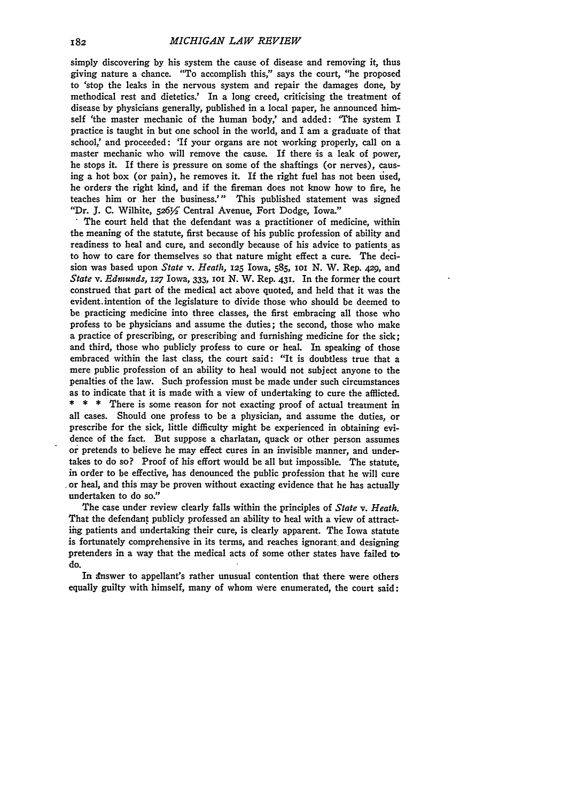simply discovering **by** his system the cause of disease and removing it, thus giving nature a chance. "To accomplish this," says the court, "he proposed to 'stop the leaks in the nervous system and repair the damages done, **by** methodical rest and dietetics.' In a long creed, criticising the treatment of disease **by** physicians generally, published in a local paper, he announced himself 'the master mechanic of the human body,' and added: 'The system **I** practice is taught in but one school in the world, and I am a graduate of that school,' and proceeded: 'If your organs are not working properly, call on a master mechanic who will remove the cause. If there is a leak of power, he stops it. If there is pressure on some of the shaftings (or nerves), causing a hot box (or pain), he removes it. If the right fuel has not been used, he orders the right kind, and if the fireman does not know how to fire, he teaches him or her the business.'" This published statement was signed

"Dr. J. C. Wilhite, 526<sup>y</sup> Central Avenue, Fort Dodge, Iowa."<br>The court held that the defendant was a practitioner of medicine, within the meaning of the statute, first because of his public profession of ability and readiness to heal and cure, and secondly because of his advice to patients as to how to care for themselves so that nature might effect a cure. The decision was based upon *State v. Heath,* **125** Iowa, **585,** ioi **N.** W. Rep. **429,** and *State v. Ednunds,* **127** Iowa, **333, ioi N.** W. Rep. **431.** In the **former** the court construed that part of the medical act above quoted, and held that it was the evident.intention of the legislature to divide those who should be deemed to be practicing medicine into three classes, the first embracing all those who profess to be physicians and assume the duties; the second, those who make a practice of prescribing, or prescribing and furnishing medicine for the sick; and third, those who publicly profess to cure or heal. In speaking of those embraced within the last class, the court said: "It is doubtless true that a mere public profession of an ability to heal would not subject anyone to the penalties of the law. Such profession must be made under such circumstances as to indicate that it is made with a view of undertaking to cure the afflicted. **\* \* \*** There is some reason for not exacting proof of actual treatment in all cases. Should one profess to be a physician, and assume the duties, or prescribe for the sick, little difficulty might be experienced in obtaining evidence of the fact. But suppose a charlatan, quack or other person assumes or pretends to believe he may effect cures in an invisible manner, and undertakes to do so? Proof of his effort would be all but impossible. The statute, in order to be effective, has denounced the public profession that he will cure or heal, and this may be proven without exacting evidence that he has actually undertaken to do so."

The case under review clearly falls within the principles of *State v. Heath.* That the defendant publicly professed an ability to heal with a view of attracting patients and undertaking their cure, is clearly apparent. The Iowa statute is fortunately comprehensive in its terms, and reaches ignorant, and designing pretenders in a way that the medical acts of some other states have failed **to** do.

In dnswer to appellant's rather unusual contention that there were others equally guilty with himself, many of whom were enumerated, the court said: